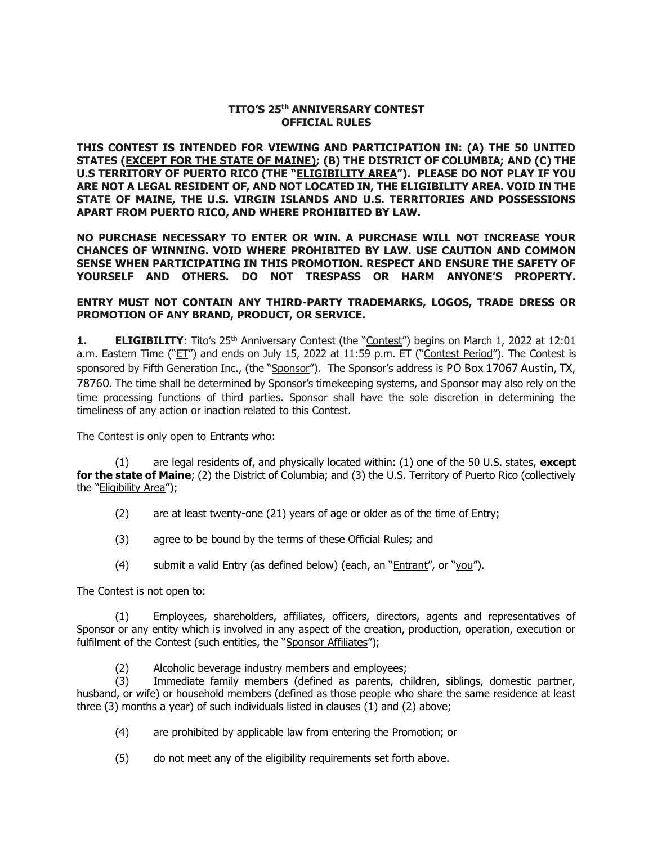## **TITO'S 25th ANNIVERSARY CONTEST OFFICIAL RULES**

**THIS CONTEST IS INTENDED FOR VIEWING AND PARTICIPATION IN: (A) THE 50 UNITED STATES (EXCEPT FOR THE STATE OF MAINE); (B) THE DISTRICT OF COLUMBIA; AND (C) THE U.S TERRITORY OF PUERTO RICO (THE "ELIGIBILITY AREA"). PLEASE DO NOT PLAY IF YOU ARE NOT A LEGAL RESIDENT OF, AND NOT LOCATED IN, THE ELIGIBILITY AREA. VOID IN THE STATE OF MAINE, THE U.S. VIRGIN ISLANDS AND U.S. TERRITORIES AND POSSESSIONS APART FROM PUERTO RICO, AND WHERE PROHIBITED BY LAW.**

**NO PURCHASE NECESSARY TO ENTER OR WIN. A PURCHASE WILL NOT INCREASE YOUR CHANCES OF WINNING. VOID WHERE PROHIBITED BY LAW. USE CAUTION AND COMMON SENSE WHEN PARTICIPATING IN THIS PROMOTION. RESPECT AND ENSURE THE SAFETY OF YOURSELF AND OTHERS. DO NOT TRESPASS OR HARM ANYONE'S PROPERTY.**

## **ENTRY MUST NOT CONTAIN ANY THIRD-PARTY TRADEMARKS, LOGOS, TRADE DRESS OR PROMOTION OF ANY BRAND, PRODUCT, OR SERVICE.**

**1. ELIGIBILITY**: Tito's 25<sup>th</sup> Anniversary Contest (the "Contest") begins on March 1, 2022 at 12:01 a.m. Eastern Time ("ET") and ends on July 15, 2022 at 11:59 p.m. ET ("Contest Period"). The Contest is sponsored by Fifth Generation Inc., (the "Sponsor"). The Sponsor's address is PO Box 17067 Austin, TX, 78760. The time shall be determined by Sponsor's timekeeping systems, and Sponsor may also rely on the time processing functions of third parties. Sponsor shall have the sole discretion in determining the timeliness of any action or inaction related to this Contest.

The Contest is only open to Entrants who:

(1) are legal residents of, and physically located within: (1) one of the 50 U.S. states, **except for the state of Maine**; (2) the District of Columbia; and (3) the U.S. Territory of Puerto Rico (collectively the "Eligibility Area");

- (2) are at least twenty-one (21) years of age or older as of the time of Entry;
- (3) agree to be bound by the terms of these Official Rules; and
- (4) submit a valid Entry (as defined below) (each, an "Entrant", or "you").

The Contest is not open to:

(1) Employees, shareholders, affiliates, officers, directors, agents and representatives of Sponsor or any entity which is involved in any aspect of the creation, production, operation, execution or fulfilment of the Contest (such entities, the "Sponsor Affiliates");

(2) Alcoholic beverage industry members and employees;

(3) Immediate family members (defined as parents, children, siblings, domestic partner, husband, or wife) or household members (defined as those people who share the same residence at least three (3) months a year) of such individuals listed in clauses (1) and (2) above;

- (4) are prohibited by applicable law from entering the Promotion; or
- (5) do not meet any of the eligibility requirements set forth above.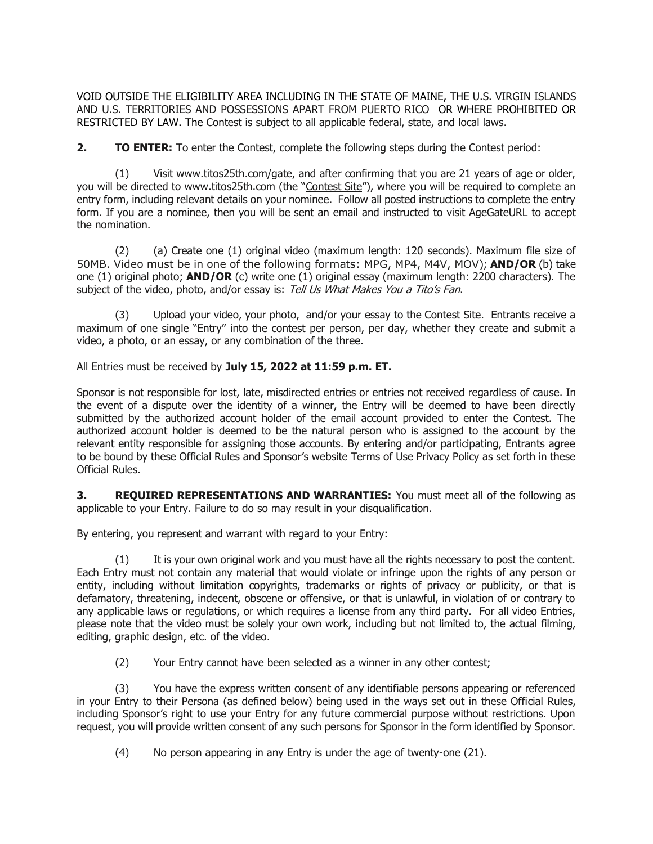VOID OUTSIDE THE ELIGIBILITY AREA INCLUDING IN THE STATE OF MAINE, THE U.S. VIRGIN ISLANDS AND U.S. TERRITORIES AND POSSESSIONS APART FROM PUERTO RICO OR WHERE PROHIBITED OR RESTRICTED BY LAW. The Contest is subject to all applicable federal, state, and local laws.

**2. <b>TO ENTER:** To enter the Contest, complete the following steps during the Contest period:

(1) Visit www.titos25th.com/gate, and after confirming that you are 21 years of age or older, you will be directed to www.titos25th.com (the "Contest Site"), where you will be required to complete an entry form, including relevant details on your nominee. Follow all posted instructions to complete the entry form. If you are a nominee, then you will be sent an email and instructed to visit AgeGateURL to accept the nomination.

(2) (a) Create one (1) original video (maximum length: 120 seconds). Maximum file size of 50MB. Video must be in one of the following formats: MPG, MP4, M4V, MOV); **AND/OR** (b) take one (1) original photo; **AND/OR** (c) write one (1) original essay (maximum length: 2200 characters). The subject of the video, photo, and/or essay is: Tell Us What Makes You a Tito's Fan.

(3) Upload your video, your photo, and/or your essay to the Contest Site. Entrants receive a maximum of one single "Entry" into the contest per person, per day, whether they create and submit a video, a photo, or an essay, or any combination of the three.

All Entries must be received by **July 15, 2022 at 11:59 p.m. ET.**

Sponsor is not responsible for lost, late, misdirected entries or entries not received regardless of cause. In the event of a dispute over the identity of a winner, the Entry will be deemed to have been directly submitted by the authorized account holder of the email account provided to enter the Contest. The authorized account holder is deemed to be the natural person who is assigned to the account by the relevant entity responsible for assigning those accounts. By entering and/or participating, Entrants agree to be bound by these Official Rules and Sponsor's website Terms of Use Privacy Policy as set forth in these Official Rules.

**3. REQUIRED REPRESENTATIONS AND WARRANTIES:** You must meet all of the following as applicable to your Entry. Failure to do so may result in your disqualification.

By entering, you represent and warrant with regard to your Entry:

(1) It is your own original work and you must have all the rights necessary to post the content. Each Entry must not contain any material that would violate or infringe upon the rights of any person or entity, including without limitation copyrights, trademarks or rights of privacy or publicity, or that is defamatory, threatening, indecent, obscene or offensive, or that is unlawful, in violation of or contrary to any applicable laws or regulations, or which requires a license from any third party. For all video Entries, please note that the video must be solely your own work, including but not limited to, the actual filming, editing, graphic design, etc. of the video.

(2) Your Entry cannot have been selected as a winner in any other contest;

(3) You have the express written consent of any identifiable persons appearing or referenced in your Entry to their Persona (as defined below) being used in the ways set out in these Official Rules, including Sponsor's right to use your Entry for any future commercial purpose without restrictions. Upon request, you will provide written consent of any such persons for Sponsor in the form identified by Sponsor.

(4) No person appearing in any Entry is under the age of twenty-one (21).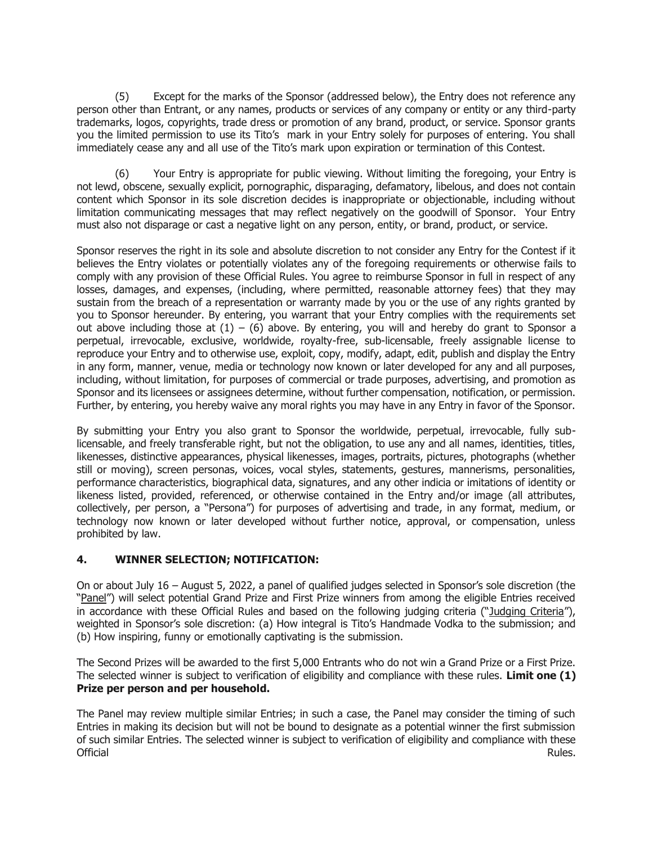(5) Except for the marks of the Sponsor (addressed below), the Entry does not reference any person other than Entrant, or any names, products or services of any company or entity or any third-party trademarks, logos, copyrights, trade dress or promotion of any brand, product, or service. Sponsor grants you the limited permission to use its Tito's mark in your Entry solely for purposes of entering. You shall immediately cease any and all use of the Tito's mark upon expiration or termination of this Contest.

(6) Your Entry is appropriate for public viewing. Without limiting the foregoing, your Entry is not lewd, obscene, sexually explicit, pornographic, disparaging, defamatory, libelous, and does not contain content which Sponsor in its sole discretion decides is inappropriate or objectionable, including without limitation communicating messages that may reflect negatively on the goodwill of Sponsor. Your Entry must also not disparage or cast a negative light on any person, entity, or brand, product, or service.

Sponsor reserves the right in its sole and absolute discretion to not consider any Entry for the Contest if it believes the Entry violates or potentially violates any of the foregoing requirements or otherwise fails to comply with any provision of these Official Rules. You agree to reimburse Sponsor in full in respect of any losses, damages, and expenses, (including, where permitted, reasonable attorney fees) that they may sustain from the breach of a representation or warranty made by you or the use of any rights granted by you to Sponsor hereunder. By entering, you warrant that your Entry complies with the requirements set out above including those at  $(1) - (6)$  above. By entering, you will and hereby do grant to Sponsor a perpetual, irrevocable, exclusive, worldwide, royalty-free, sub-licensable, freely assignable license to reproduce your Entry and to otherwise use, exploit, copy, modify, adapt, edit, publish and display the Entry in any form, manner, venue, media or technology now known or later developed for any and all purposes, including, without limitation, for purposes of commercial or trade purposes, advertising, and promotion as Sponsor and its licensees or assignees determine, without further compensation, notification, or permission. Further, by entering, you hereby waive any moral rights you may have in any Entry in favor of the Sponsor.

By submitting your Entry you also grant to Sponsor the worldwide, perpetual, irrevocable, fully sublicensable, and freely transferable right, but not the obligation, to use any and all names, identities, titles, likenesses, distinctive appearances, physical likenesses, images, portraits, pictures, photographs (whether still or moving), screen personas, voices, vocal styles, statements, gestures, mannerisms, personalities, performance characteristics, biographical data, signatures, and any other indicia or imitations of identity or likeness listed, provided, referenced, or otherwise contained in the Entry and/or image (all attributes, collectively, per person, a "Persona") for purposes of advertising and trade, in any format, medium, or technology now known or later developed without further notice, approval, or compensation, unless prohibited by law.

## **4. WINNER SELECTION; NOTIFICATION:**

On or about July 16 – August 5, 2022, a panel of qualified judges selected in Sponsor's sole discretion (the "Panel") will select potential Grand Prize and First Prize winners from among the eligible Entries received in accordance with these Official Rules and based on the following judging criteria ("Judging Criteria"), weighted in Sponsor's sole discretion: (a) How integral is Tito's Handmade Vodka to the submission; and (b) How inspiring, funny or emotionally captivating is the submission.

The Second Prizes will be awarded to the first 5,000 Entrants who do not win a Grand Prize or a First Prize. The selected winner is subject to verification of eligibility and compliance with these rules. **Limit one (1) Prize per person and per household.**

The Panel may review multiple similar Entries; in such a case, the Panel may consider the timing of such Entries in making its decision but will not be bound to designate as a potential winner the first submission of such similar Entries. The selected winner is subject to verification of eligibility and compliance with these Official Rules.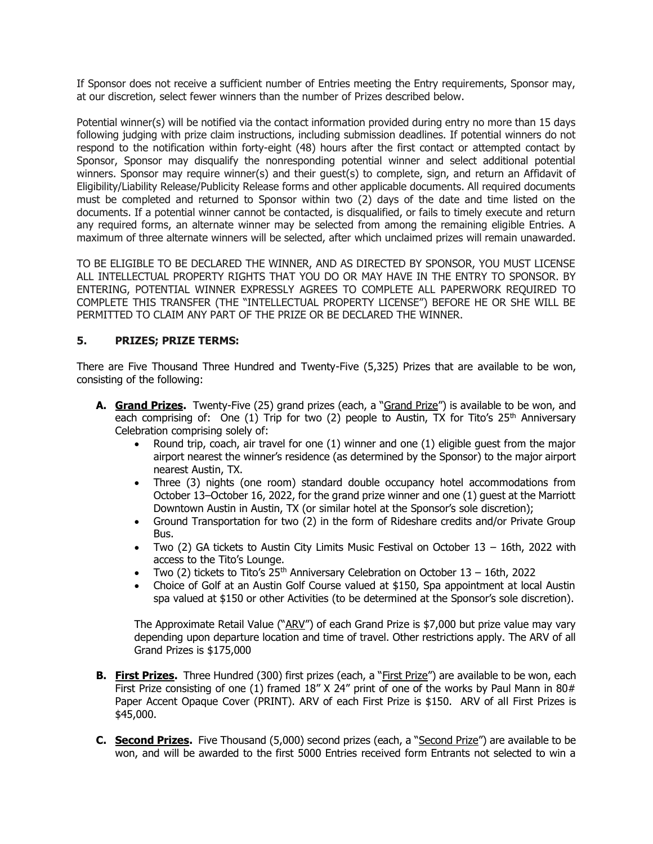If Sponsor does not receive a sufficient number of Entries meeting the Entry requirements, Sponsor may, at our discretion, select fewer winners than the number of Prizes described below.

Potential winner(s) will be notified via the contact information provided during entry no more than 15 days following judging with prize claim instructions, including submission deadlines. If potential winners do not respond to the notification within forty-eight (48) hours after the first contact or attempted contact by Sponsor, Sponsor may disqualify the nonresponding potential winner and select additional potential winners. Sponsor may require winner(s) and their quest(s) to complete, sign, and return an Affidavit of Eligibility/Liability Release/Publicity Release forms and other applicable documents. All required documents must be completed and returned to Sponsor within two (2) days of the date and time listed on the documents. If a potential winner cannot be contacted, is disqualified, or fails to timely execute and return any required forms, an alternate winner may be selected from among the remaining eligible Entries. A maximum of three alternate winners will be selected, after which unclaimed prizes will remain unawarded.

TO BE ELIGIBLE TO BE DECLARED THE WINNER, AND AS DIRECTED BY SPONSOR, YOU MUST LICENSE ALL INTELLECTUAL PROPERTY RIGHTS THAT YOU DO OR MAY HAVE IN THE ENTRY TO SPONSOR. BY ENTERING, POTENTIAL WINNER EXPRESSLY AGREES TO COMPLETE ALL PAPERWORK REQUIRED TO COMPLETE THIS TRANSFER (THE "INTELLECTUAL PROPERTY LICENSE") BEFORE HE OR SHE WILL BE PERMITTED TO CLAIM ANY PART OF THE PRIZE OR BE DECLARED THE WINNER.

## **5. PRIZES; PRIZE TERMS:**

There are Five Thousand Three Hundred and Twenty-Five (5,325) Prizes that are available to be won, consisting of the following:

- **A. Grand Prizes.** Twenty-Five (25) grand prizes (each, a "Grand Prize") is available to be won, and each comprising of: One (1) Trip for two (2) people to Austin, TX for Tito's  $25<sup>th</sup>$  Anniversary Celebration comprising solely of:
	- Round trip, coach, air travel for one (1) winner and one (1) eligible guest from the major airport nearest the winner's residence (as determined by the Sponsor) to the major airport nearest Austin, TX.
	- Three (3) nights (one room) standard double occupancy hotel accommodations from October 13–October 16, 2022, for the grand prize winner and one (1) guest at the Marriott Downtown Austin in Austin, TX (or similar hotel at the Sponsor's sole discretion);
	- Ground Transportation for two (2) in the form of Rideshare credits and/or Private Group Bus.
	- Two (2) GA tickets to Austin City Limits Music Festival on October 13 16th, 2022 with access to the Tito's Lounge.
	- Two (2) tickets to Tito's  $25<sup>th</sup>$  Anniversary Celebration on October 13 16th, 2022
	- Choice of Golf at an Austin Golf Course valued at \$150, Spa appointment at local Austin spa valued at \$150 or other Activities (to be determined at the Sponsor's sole discretion).

The Approximate Retail Value ("ARV") of each Grand Prize is \$7,000 but prize value may vary depending upon departure location and time of travel. Other restrictions apply. The ARV of all Grand Prizes is \$175,000

- **B.** First Prizes. Three Hundred (300) first prizes (each, a "First Prize") are available to be won, each First Prize consisting of one (1) framed  $18''$  X 24" print of one of the works by Paul Mann in  $80#$ Paper Accent Opaque Cover (PRINT). ARV of each First Prize is \$150. ARV of all First Prizes is \$45,000.
- **C. Second Prizes.** Five Thousand (5,000) second prizes (each, a "Second Prize") are available to be won, and will be awarded to the first 5000 Entries received form Entrants not selected to win a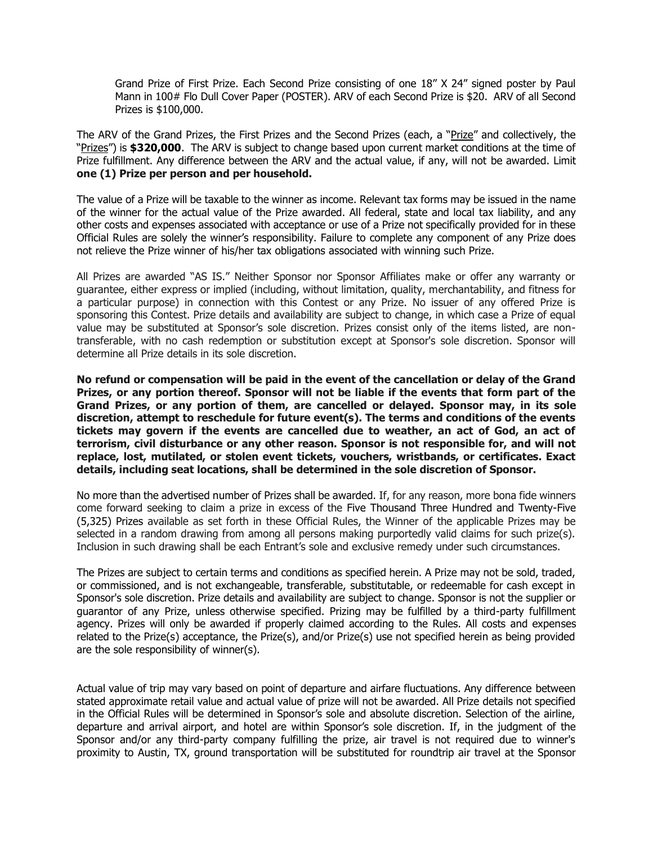Grand Prize of First Prize. Each Second Prize consisting of one 18" X 24" signed poster by Paul Mann in 100# Flo Dull Cover Paper (POSTER). ARV of each Second Prize is \$20. ARV of all Second Prizes is \$100,000.

The ARV of the Grand Prizes, the First Prizes and the Second Prizes (each, a "Prize" and collectively, the "Prizes") is **\$320,000**. The ARV is subject to change based upon current market conditions at the time of Prize fulfillment. Any difference between the ARV and the actual value, if any, will not be awarded. Limit **one (1) Prize per person and per household.**

The value of a Prize will be taxable to the winner as income. Relevant tax forms may be issued in the name of the winner for the actual value of the Prize awarded. All federal, state and local tax liability, and any other costs and expenses associated with acceptance or use of a Prize not specifically provided for in these Official Rules are solely the winner's responsibility. Failure to complete any component of any Prize does not relieve the Prize winner of his/her tax obligations associated with winning such Prize.

All Prizes are awarded "AS IS." Neither Sponsor nor Sponsor Affiliates make or offer any warranty or guarantee, either express or implied (including, without limitation, quality, merchantability, and fitness for a particular purpose) in connection with this Contest or any Prize. No issuer of any offered Prize is sponsoring this Contest. Prize details and availability are subject to change, in which case a Prize of equal value may be substituted at Sponsor's sole discretion. Prizes consist only of the items listed, are nontransferable, with no cash redemption or substitution except at Sponsor's sole discretion. Sponsor will determine all Prize details in its sole discretion.

**No refund or compensation will be paid in the event of the cancellation or delay of the Grand Prizes, or any portion thereof. Sponsor will not be liable if the events that form part of the Grand Prizes, or any portion of them, are cancelled or delayed. Sponsor may, in its sole discretion, attempt to reschedule for future event(s). The terms and conditions of the events tickets may govern if the events are cancelled due to weather, an act of God, an act of terrorism, civil disturbance or any other reason. Sponsor is not responsible for, and will not replace, lost, mutilated, or stolen event tickets, vouchers, wristbands, or certificates. Exact details, including seat locations, shall be determined in the sole discretion of Sponsor.**

No more than the advertised number of Prizes shall be awarded. If, for any reason, more bona fide winners come forward seeking to claim a prize in excess of the Five Thousand Three Hundred and Twenty-Five (5,325) Prizes available as set forth in these Official Rules, the Winner of the applicable Prizes may be selected in a random drawing from among all persons making purportedly valid claims for such prize(s). Inclusion in such drawing shall be each Entrant's sole and exclusive remedy under such circumstances.

The Prizes are subject to certain terms and conditions as specified herein. A Prize may not be sold, traded, or commissioned, and is not exchangeable, transferable, substitutable, or redeemable for cash except in Sponsor's sole discretion. Prize details and availability are subject to change. Sponsor is not the supplier or guarantor of any Prize, unless otherwise specified. Prizing may be fulfilled by a third-party fulfillment agency. Prizes will only be awarded if properly claimed according to the Rules. All costs and expenses related to the Prize(s) acceptance, the Prize(s), and/or Prize(s) use not specified herein as being provided are the sole responsibility of winner(s).

Actual value of trip may vary based on point of departure and airfare fluctuations. Any difference between stated approximate retail value and actual value of prize will not be awarded. All Prize details not specified in the Official Rules will be determined in Sponsor's sole and absolute discretion. Selection of the airline, departure and arrival airport, and hotel are within Sponsor's sole discretion. If, in the judgment of the Sponsor and/or any third-party company fulfilling the prize, air travel is not required due to winner's proximity to Austin, TX, ground transportation will be substituted for roundtrip air travel at the Sponsor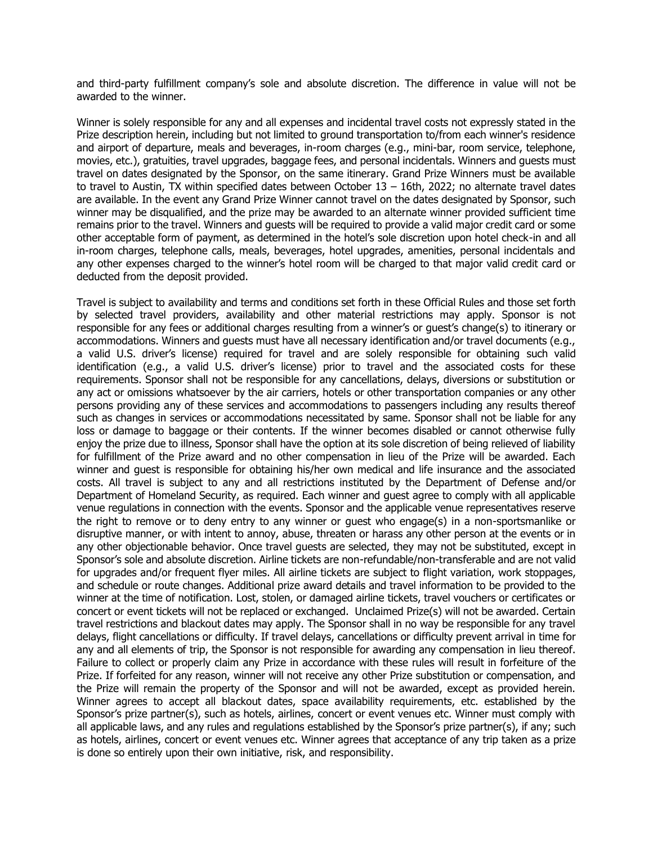and third-party fulfillment company's sole and absolute discretion. The difference in value will not be awarded to the winner.

Winner is solely responsible for any and all expenses and incidental travel costs not expressly stated in the Prize description herein, including but not limited to ground transportation to/from each winner's residence and airport of departure, meals and beverages, in-room charges (e.g., mini-bar, room service, telephone, movies, etc.), gratuities, travel upgrades, baggage fees, and personal incidentals. Winners and guests must travel on dates designated by the Sponsor, on the same itinerary. Grand Prize Winners must be available to travel to Austin, TX within specified dates between October  $13 - 16$ th, 2022; no alternate travel dates are available. In the event any Grand Prize Winner cannot travel on the dates designated by Sponsor, such winner may be disqualified, and the prize may be awarded to an alternate winner provided sufficient time remains prior to the travel. Winners and guests will be required to provide a valid major credit card or some other acceptable form of payment, as determined in the hotel's sole discretion upon hotel check-in and all in-room charges, telephone calls, meals, beverages, hotel upgrades, amenities, personal incidentals and any other expenses charged to the winner's hotel room will be charged to that major valid credit card or deducted from the deposit provided.

Travel is subject to availability and terms and conditions set forth in these Official Rules and those set forth by selected travel providers, availability and other material restrictions may apply. Sponsor is not responsible for any fees or additional charges resulting from a winner's or guest's change(s) to itinerary or accommodations. Winners and guests must have all necessary identification and/or travel documents (e.g., a valid U.S. driver's license) required for travel and are solely responsible for obtaining such valid identification (e.g., a valid U.S. driver's license) prior to travel and the associated costs for these requirements. Sponsor shall not be responsible for any cancellations, delays, diversions or substitution or any act or omissions whatsoever by the air carriers, hotels or other transportation companies or any other persons providing any of these services and accommodations to passengers including any results thereof such as changes in services or accommodations necessitated by same. Sponsor shall not be liable for any loss or damage to baggage or their contents. If the winner becomes disabled or cannot otherwise fully enjoy the prize due to illness, Sponsor shall have the option at its sole discretion of being relieved of liability for fulfillment of the Prize award and no other compensation in lieu of the Prize will be awarded. Each winner and guest is responsible for obtaining his/her own medical and life insurance and the associated costs. All travel is subject to any and all restrictions instituted by the Department of Defense and/or Department of Homeland Security, as required. Each winner and guest agree to comply with all applicable venue regulations in connection with the events. Sponsor and the applicable venue representatives reserve the right to remove or to deny entry to any winner or guest who engage(s) in a non-sportsmanlike or disruptive manner, or with intent to annoy, abuse, threaten or harass any other person at the events or in any other objectionable behavior. Once travel guests are selected, they may not be substituted, except in Sponsor's sole and absolute discretion. Airline tickets are non-refundable/non-transferable and are not valid for upgrades and/or frequent flyer miles. All airline tickets are subject to flight variation, work stoppages, and schedule or route changes. Additional prize award details and travel information to be provided to the winner at the time of notification. Lost, stolen, or damaged airline tickets, travel vouchers or certificates or concert or event tickets will not be replaced or exchanged. Unclaimed Prize(s) will not be awarded. Certain travel restrictions and blackout dates may apply. The Sponsor shall in no way be responsible for any travel delays, flight cancellations or difficulty. If travel delays, cancellations or difficulty prevent arrival in time for any and all elements of trip, the Sponsor is not responsible for awarding any compensation in lieu thereof. Failure to collect or properly claim any Prize in accordance with these rules will result in forfeiture of the Prize. If forfeited for any reason, winner will not receive any other Prize substitution or compensation, and the Prize will remain the property of the Sponsor and will not be awarded, except as provided herein. Winner agrees to accept all blackout dates, space availability requirements, etc. established by the Sponsor's prize partner(s), such as hotels, airlines, concert or event venues etc. Winner must comply with all applicable laws, and any rules and regulations established by the Sponsor's prize partner(s), if any; such as hotels, airlines, concert or event venues etc. Winner agrees that acceptance of any trip taken as a prize is done so entirely upon their own initiative, risk, and responsibility.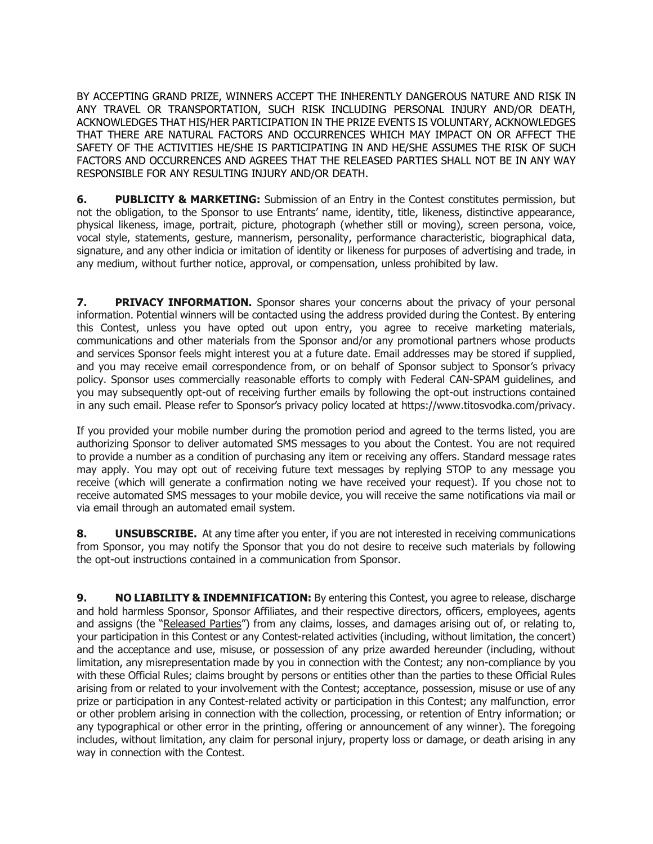BY ACCEPTING GRAND PRIZE, WINNERS ACCEPT THE INHERENTLY DANGEROUS NATURE AND RISK IN ANY TRAVEL OR TRANSPORTATION, SUCH RISK INCLUDING PERSONAL INJURY AND/OR DEATH, ACKNOWLEDGES THAT HIS/HER PARTICIPATION IN THE PRIZE EVENTS IS VOLUNTARY, ACKNOWLEDGES THAT THERE ARE NATURAL FACTORS AND OCCURRENCES WHICH MAY IMPACT ON OR AFFECT THE SAFETY OF THE ACTIVITIES HE/SHE IS PARTICIPATING IN AND HE/SHE ASSUMES THE RISK OF SUCH FACTORS AND OCCURRENCES AND AGREES THAT THE RELEASED PARTIES SHALL NOT BE IN ANY WAY RESPONSIBLE FOR ANY RESULTING INJURY AND/OR DEATH.

**6. PUBLICITY & MARKETING:** Submission of an Entry in the Contest constitutes permission, but not the obligation, to the Sponsor to use Entrants' name, identity, title, likeness, distinctive appearance, physical likeness, image, portrait, picture, photograph (whether still or moving), screen persona, voice, vocal style, statements, gesture, mannerism, personality, performance characteristic, biographical data, signature, and any other indicia or imitation of identity or likeness for purposes of advertising and trade, in any medium, without further notice, approval, or compensation, unless prohibited by law.

**7. PRIVACY INFORMATION.** Sponsor shares your concerns about the privacy of your personal information. Potential winners will be contacted using the address provided during the Contest. By entering this Contest, unless you have opted out upon entry, you agree to receive marketing materials, communications and other materials from the Sponsor and/or any promotional partners whose products and services Sponsor feels might interest you at a future date. Email addresses may be stored if supplied, and you may receive email correspondence from, or on behalf of Sponsor subject to Sponsor's privacy policy. Sponsor uses commercially reasonable efforts to comply with Federal CAN-SPAM guidelines, and you may subsequently opt-out of receiving further emails by following the opt-out instructions contained in any such email. Please refer to Sponsor's privacy policy located at [https://www.titosvodka.com/privacy.](https://www.titosvodka.com/privacy)

If you provided your mobile number during the promotion period and agreed to the terms listed, you are authorizing Sponsor to deliver automated SMS messages to you about the Contest. You are not required to provide a number as a condition of purchasing any item or receiving any offers. Standard message rates may apply. You may opt out of receiving future text messages by replying STOP to any message you receive (which will generate a confirmation noting we have received your request). If you chose not to receive automated SMS messages to your mobile device, you will receive the same notifications via mail or via email through an automated email system.

**8. UNSUBSCRIBE.** At any time after you enter, if you are not interested in receiving communications from Sponsor, you may notify the Sponsor that you do not desire to receive such materials by following the opt-out instructions contained in a communication from Sponsor.

**9. NO LIABILITY & INDEMNIFICATION:** By entering this Contest, you agree to release, discharge and hold harmless Sponsor, Sponsor Affiliates, and their respective directors, officers, employees, agents and assigns (the "Released Parties") from any claims, losses, and damages arising out of, or relating to, your participation in this Contest or any Contest-related activities (including, without limitation, the concert) and the acceptance and use, misuse, or possession of any prize awarded hereunder (including, without limitation, any misrepresentation made by you in connection with the Contest; any non-compliance by you with these Official Rules; claims brought by persons or entities other than the parties to these Official Rules arising from or related to your involvement with the Contest; acceptance, possession, misuse or use of any prize or participation in any Contest-related activity or participation in this Contest; any malfunction, error or other problem arising in connection with the collection, processing, or retention of Entry information; or any typographical or other error in the printing, offering or announcement of any winner). The foregoing includes, without limitation, any claim for personal injury, property loss or damage, or death arising in any way in connection with the Contest.